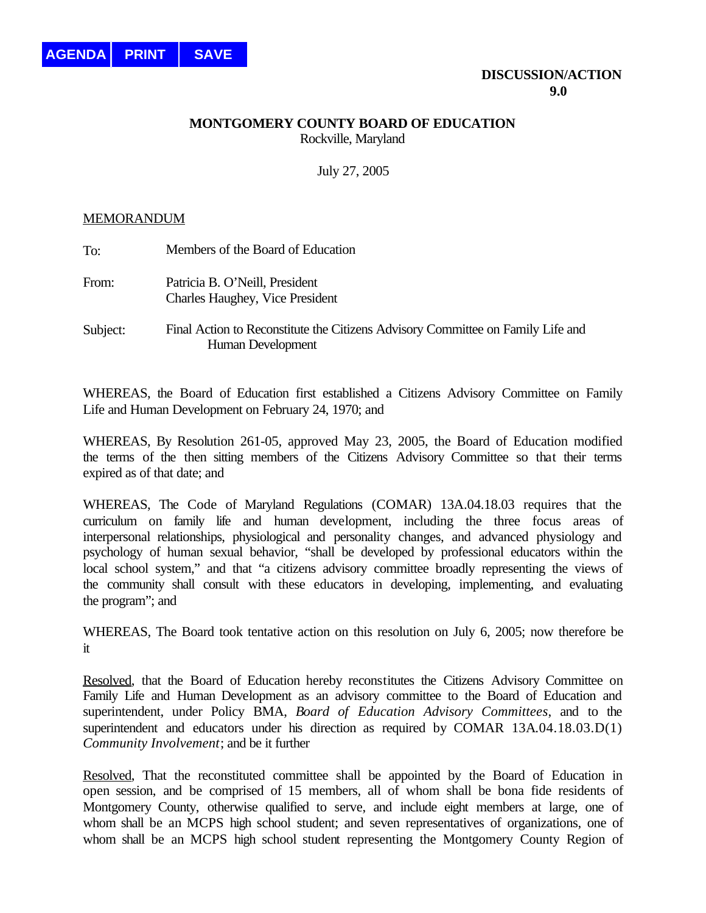## **MONTGOMERY COUNTY BOARD OF EDUCATION** Rockville, Maryland

July 27, 2005

## MEMORANDUM

| To:      | Members of the Board of Education                                                                    |
|----------|------------------------------------------------------------------------------------------------------|
| From:    | Patricia B. O'Neill, President<br><b>Charles Haughey, Vice President</b>                             |
| Subject: | Final Action to Reconstitute the Citizens Advisory Committee on Family Life and<br>Human Development |

WHEREAS, the Board of Education first established a Citizens Advisory Committee on Family Life and Human Development on February 24, 1970; and

WHEREAS, By Resolution 261-05, approved May 23, 2005, the Board of Education modified the terms of the then sitting members of the Citizens Advisory Committee so that their terms expired as of that date; and

WHEREAS, The Code of Maryland Regulations (COMAR) 13A.04.18.03 requires that the curriculum on family life and human development, including the three focus areas of interpersonal relationships, physiological and personality changes, and advanced physiology and psychology of human sexual behavior, "shall be developed by professional educators within the local school system," and that "a citizens advisory committee broadly representing the views of the community shall consult with these educators in developing, implementing, and evaluating the program"; and

WHEREAS, The Board took tentative action on this resolution on July 6, 2005; now therefore be it

Resolved, that the Board of Education hereby reconstitutes the Citizens Advisory Committee on Family Life and Human Development as an advisory committee to the Board of Education and superintendent, under Policy BMA, *Board of Education Advisory Committees*, and to the superintendent and educators under his direction as required by COMAR 13A.04.18.03.D(1) *Community Involvement*; and be it further

Resolved, That the reconstituted committee shall be appointed by the Board of Education in open session, and be comprised of 15 members, all of whom shall be bona fide residents of Montgomery County, otherwise qualified to serve, and include eight members at large, one of whom shall be an MCPS high school student; and seven representatives of organizations, one of whom shall be an MCPS high school student representing the Montgomery County Region of